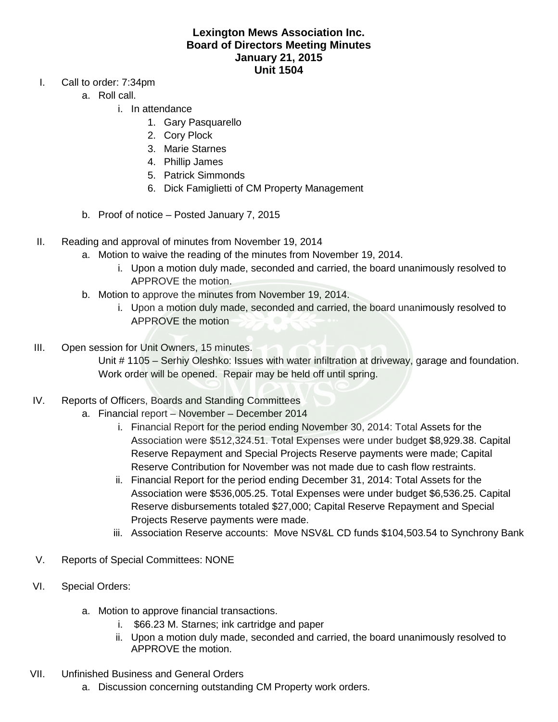## **Lexington Mews Association Inc. Board of Directors Meeting Minutes January 21, 2015 Unit 1504**

- I. Call to order: 7:34pm
	- a. Roll call.
		- i. In attendance
			- 1. Gary Pasquarello
			- 2. Cory Plock
			- 3. Marie Starnes
			- 4. Phillip James
			- 5. Patrick Simmonds
			- 6. Dick Famiglietti of CM Property Management
	- b. Proof of notice Posted January 7, 2015
- II. Reading and approval of minutes from November 19, 2014
	- a. Motion to waive the reading of the minutes from November 19, 2014.
		- i. Upon a motion duly made, seconded and carried, the board unanimously resolved to APPROVE the motion.
	- b. Motion to approve the minutes from November 19, 2014.
		- i. Upon a motion duly made, seconded and carried, the board unanimously resolved to APPROVE the motion
- III. Open session for Unit Owners, 15 minutes.

Unit # 1105 – Serhiy Oleshko: Issues with water infiltration at driveway, garage and foundation. Work order will be opened. Repair may be held off until spring.

- IV. Reports of Officers, Boards and Standing Committees
	- a. Financial report November December 2014
		- i. Financial Report for the period ending November 30, 2014: Total Assets for the Association were \$512,324.51. Total Expenses were under budget \$8,929.38. Capital Reserve Repayment and Special Projects Reserve payments were made; Capital Reserve Contribution for November was not made due to cash flow restraints.
		- ii. Financial Report for the period ending December 31, 2014: Total Assets for the Association were \$536,005.25. Total Expenses were under budget \$6,536.25. Capital Reserve disbursements totaled \$27,000; Capital Reserve Repayment and Special Projects Reserve payments were made.
		- iii. Association Reserve accounts: Move NSV&L CD funds \$104,503.54 to Synchrony Bank
- V. Reports of Special Committees: NONE
- VI. Special Orders:
	- a. Motion to approve financial transactions.
		- i. \$66.23 M. Starnes; ink cartridge and paper
		- ii. Upon a motion duly made, seconded and carried, the board unanimously resolved to APPROVE the motion.
- VII. Unfinished Business and General Orders
	- a. Discussion concerning outstanding CM Property work orders.